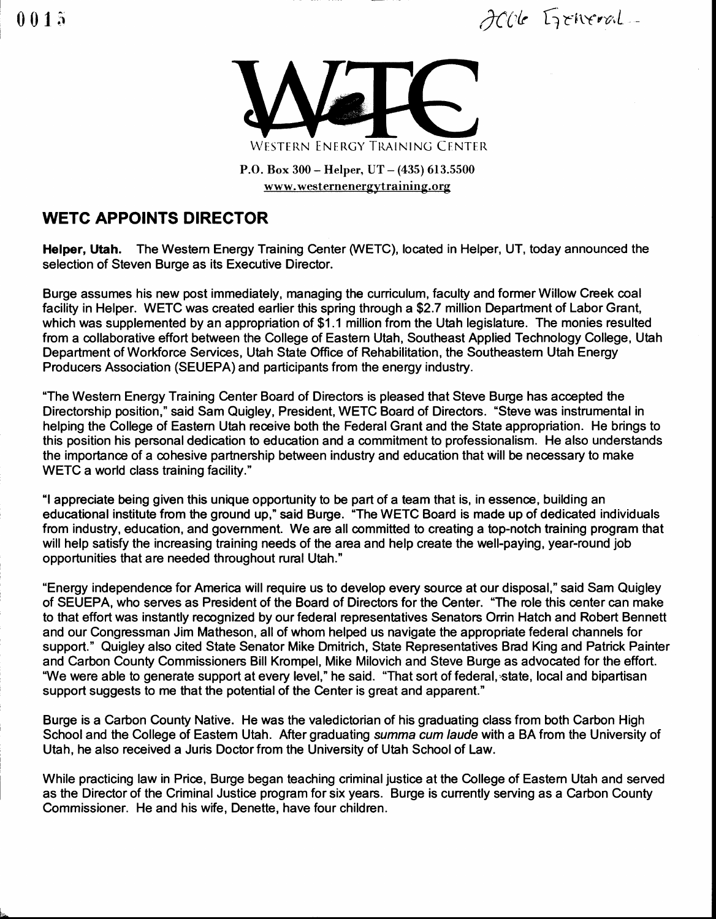$0015$  there is a the set of  $\partial C$  the first vertext



P.O. Box 300 - Helper, UT - (435) 613.5500 www.westernenergytraining.org

## WETC APPOINTS DIRECTOR

Helper, Utah. The Western Energy Training Center (WETC), located in Helper, UT, today announced the selection of Steven Burge as its Executive Director.

Burge assumes his new post immediately, managing the curriculum, faculty and former Willow Creek coal facility in Helper. WETC was created earlier this spring through a \$2.7 million Department of Labor Grant, which was supplemented by an appropriation of \$1.1 million from the Utah legislature. The monies resulted from a ollaborative effort between the College of Eastem Utah, Southeast Applied Technology College, Utah Department of Workforce Services, Utah State Office of Rehabilitation, the Southeastem Utah Energy Producers Association (SEUEPA) and participants from the energy industry.

"The Westem Energy Training Center Board of Directors is pleased that Steve Buge has accepted the Directorship position," said Sam Quigley, President, WETC Board of Directors. "Steve was instrumental in helping the College of Eastem Utah receive both the Federal Grant and the State appropriation. He brings to this position his personal dedication to education and a commitment to professionalism. He also understands the importance of a cohesive partnership between industry and education that will be necessary to make WETC a world class training facility."

"I appreciate being given this unique opportunity to be part of a team that is, in essence, building an educational institute from the ground up," said Burge. "The WETC Board is made up of dedicated individuals from industry, education, and government. We are all committed to creating a top-notch training program that will help satisfy the increasing training needs of the area and help create the well-paying, year-round job opportunities that are needed throughout rural Utah."

"Energy independence for America will require us to develop every source at our disposal," said Sam Quigley of SEUEPA, who serves as President of the Board of Directors for the Center. "The role this center can make to that effort was instantly recognized by our federal representatives Senators Orrin Hatch and Robert Bennett and our Congessman Jim Matheson, all of whom helped us navigate the appropriate federal channels for support." Quigley also cited State Senator Mike Dmitrich, State Representatives Brad King and Patrick Painter and Carbon County Commissioners Bill Krompel, Mike Milovich and Steve Burge as advocated for the effort. "We were able to generate support at every level," he said. "That sort of federal, state, local and bipartisan support suggests to me that the potential of the Center is great and apparent."

Burge is a Carbon County Native. He was the valedictorian of his graduating class from both Carbon High School and the College of Eastem Utah. After graduating summa cum laude with a BA from the University of Utah, he also received a Juris Doctor from the University of Utah School of Law.

While practicing law in Price, Burge began teaching criminal justice at the College of Eastem Utah and served as the Director of the Criminal Justice program for six years. Burge is cunently serving as a Carbon County Commissioner. He and his wife, Denette, have four children.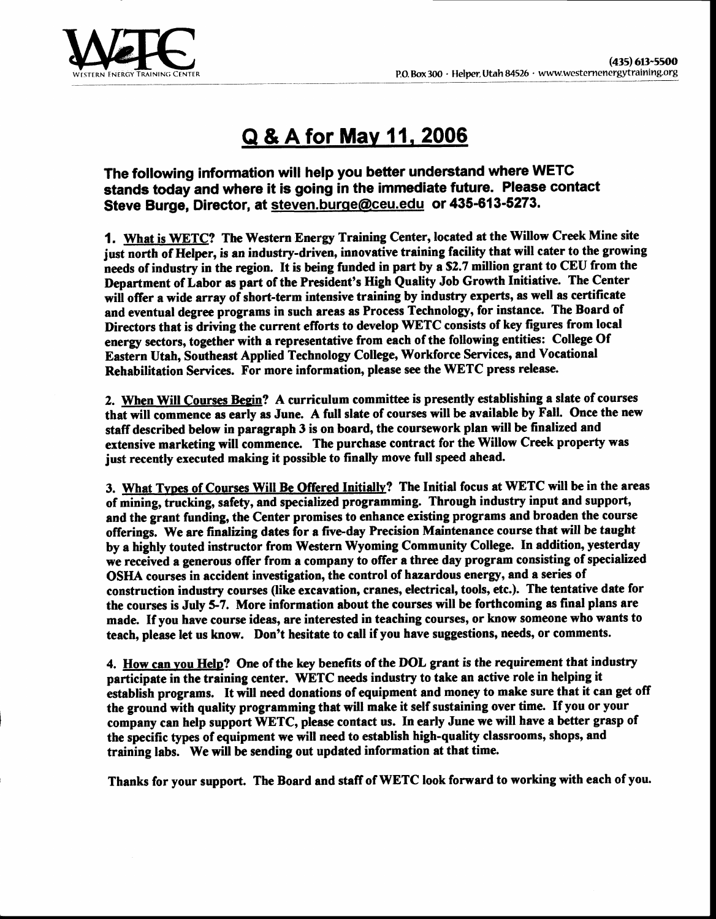

## Q & A for Mav 11. 2006

The following information will help you better understand where WETC stands today and where it is going in the immedlate future. Please contact Steve Burge, Director, at steven.burge@ceu.edu or 435-613-5273.

1. What is WETC? The Western Energy Training Center, located at the Willow Creek Mine site just north of Helper, is an industry-driven, innovative training facility that will cater to the growing needs of industry in the region. It is being funded in part by a \$2.7 million grant to CEU from the Department of Labor as part of the President's High Quality Job Growth Initiative. The Center wiil offer a wide array of short-term intensive training by industry experts, as well as certificate and eventual degree programs in such areas as Process Technology, for instance. The Board of Directors that is driving the current efforts to develop WETC consists of key figures from local energy sectors, together with a representative from each of the following entities: College Of Eastern Utah, Southeast Applied Technology College, Workforce Services, and Vocational Rehabilitation Services. For more information, please see the WETC press release.

2. When Will Courses Begin? A curriculum committee is presently establishing a slate of courses that will commence as early as June. A full slate of courses will be available by Fall. Once the new staff described below in paragraph 3 is on board, the coursework plan will be finalized and extensive marketing will commence. The purchase contract for the Willow Creek property was just recently executed making it possible to finally move full speed ahead.

3. What Types of Courses Will Be Offered Initially? The Initial focus at WETC will be in the areas of mining, trucking, safety, and specialized programming. Through industry input and support, and the grant funding, the Center promises to enhance existing programs and broaden the course and the grant funding, the exister promises to emainte existing programs and a content the course by a highly touted instructor from Western Wyoming Community College. In addition, yesterday we received a generous offer from a company to offer a three day program consisting of specialized OSHA courses in accident investigation, the control of hazardous energy, and a series of construction industry courses (like excavation, cranes, electrical, tools, etc.). The tentative date for the courses is July 5-7. More information about the courses will be forthcoming as final plans are made. If you have course ideas, are interested in teaching courses, or know someone who wants to teach, please let us know. Don't hesitate to call if you have suggestions, needs, or comments.

4. How can vou Helo? One of the key benefits of the DOL grant is the requirement that industry participate in the training center. WETC needs industry to take an active role in helping it establish programs. It will need donations of equipment and money to make sure that it can get off the ground with quality programming that will make it self sustaining over time. If you or your company can help support WETC, please contact us. In early June we will have a better grasp of the specific types of equipment we will need to establish high-quality classrooms, shops, and training labs. We will be sending out updated information at that time.

Thanks for your support. The Board and staff of WETC look forward to working with each of you.